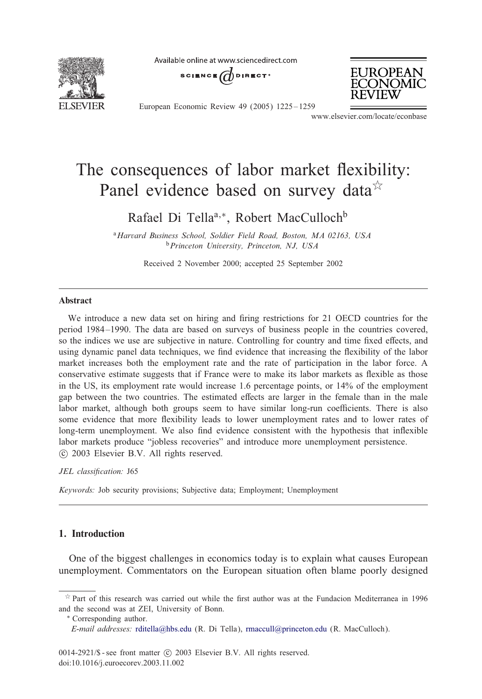

Available online at www.sciencedirect.com

SCIENCE  $\overrightarrow{a}$  direct<sup>®</sup>



European Economic Review 49 (2005) 1225 – 1259

www.elsevier.com/locate/econbase

## The consequences of labor market flexibility: Panel evidence based on survey data<sup>\*</sup>

Rafael Di Tella<sup>a,∗</sup>, Robert MacCulloch<sup>b</sup>

<sup>a</sup>*Harvard Business School, Soldier Field Road, Boston, MA 02163, USA* <sup>b</sup>*Princeton University, Princeton, NJ, USA*

Received 2 November 2000; accepted 25 September 2002

## Abstract

We introduce a new data set on hiring and firing restrictions for 21 OECD countries for the period 1984 –1990. The data are based on surveys of business people in the countries covered, so the indices we use are subjective in nature. Controlling for country and time fixed effects, and using dynamic panel data techniques, we find evidence that increasing the flexibility of the labor market increases both the employment rate and the rate of participation in the labor force. A conservative estimate suggests that if France were to make its labor markets as flexible as those in the US, its employment rate would increase 1.6 percentage points, or 14% of the employment gap between the two countries. The estimated effects are larger in the female than in the male labor market, although both groups seem to have similar long-run coefficients. There is also some evidence that more flexibility leads to lower unemployment rates and to lower rates of long-term unemployment. We also find evidence consistent with the hypothesis that inflexible labor markets produce "jobless recoveries" and introduce more unemployment persistence. -c 2003 Elsevier B.V. All rights reserved.

#### JEL classification: J65

*Keywords:* Job security provisions; Subjective data; Employment; Unemployment

### 1. Introduction

One of the biggest challenges in economics today is to explain what causes European unemployment. C[ommentators](mailto:rditella@hbs.edu) [o](mailto:rditella@hbs.edu)n the Euro[pean](mailto:rmaccull@princeton.edu) [situation](mailto:rmaccull@princeton.edu) [often](mailto:rmaccull@princeton.edu) blame poorly designed

 $*$  Part of this research was carried out while the first author was at the Fundacion Mediterranea in 1996 and the second was at ZEI, University of Bonn.

<sup>∗</sup> Corresponding author.

*E-mail addresses:* rditella@hbs.edu (R. Di Tella), rmaccull@princeton.edu (R. MacCulloch).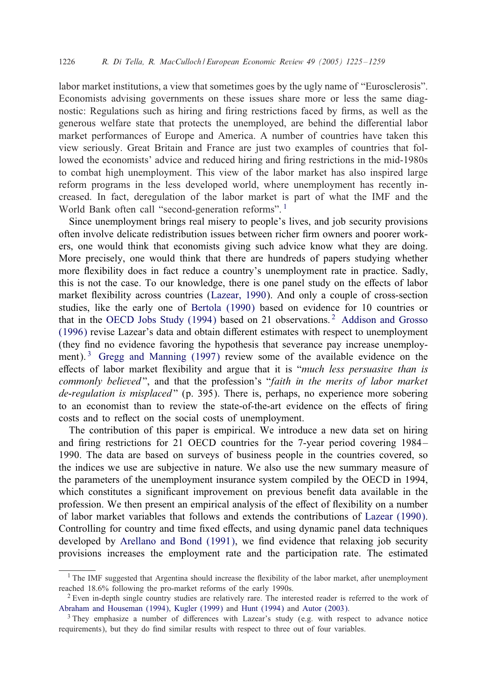### 1226 *R. Di Tella, R. MacCulloch / European Economic Review 49 (2005) 1225 – 1259*

labor market institutions, a view that sometimes goes by the ugly name of "Eurosclerosis". Economists advising governments on these issues share more or less the same diagnostic: Regulations such as hiring and firing restrictions faced by firms, as well as the generous welfare state that protects the unemployed, are behind the differential labor market performances of Europe and America. A number of countries have taken this view seriously. Great Britain and France are just two examples of countries that followed the economists' advice and reduced hiring and firing restrictions in the mid-1980s to combat high unemployment. This view of the labor market has also inspired large reform programs in the less developed world, where unemployment has recently increased. In fact, deregulation of the labor market is part of what the IMF and the World Bank often call "second-generation reforms".<sup>1</sup>

Since unemployment brings real misery to people's lives, and job security provisions often involve delicate redistribution [issues between](#page--1-0) richer firm owners and poorer workers, one would think that eco[nomists giving s](#page--1-0)uch advice know what they are doing. More prec[isely, one would think tha](#page--1-0)t there are hundreds of pap[ers studying whether](#page--1-0) more flexibility does in fact reduce a country's unemployment rate in practice. Sadly, this is not the case. To our knowledge, there is one panel study on the effects of labor market fl[exibility across countries \(La](#page--1-0)zear, 1990). And only a couple of cross-section studies, like the early one of Bertola (1990) based on evidence for 10 countries or that in the OECD Jobs Study (1994) based on 21 observations. <sup>2</sup> Addison and Grosso  $(1996)$  revise Lazear's data and obtain different estimates with respect to unemployment (they find no evidence favoring the hypothesis that severance pay increase unemployment).<sup>3</sup> Gregg and Manning (1997) review some of the available evidence on the effects of labor market flexibility and argue that it is "*much less persuasive than is commonly believed* ", and that the profession's "*faith in the merits of labor market de-regulation is misplaced* " (p. 395). There is, perhaps, no experience more sobering to an economist than to review the state-of-the-art evidence on the effects of firing costs and to reflect on the social costs of unemployment.

The contribution of this paper is empirical. We introduce a new data set on hiring and firing restrictions for 21 OECD countries for the 7-year period covering 1984– 1990. The data are based on surveys of business people in the countr[ies covered, so](#page--1-0) the indices we use are subjective in nature. We also use the new summary measure of the parameter[s of the unemployment insur](#page--1-0)ance system compiled by the OECD in 1994, which constitutes a significant improvement on previous benefit data available in the profession. We then present an empirical analysis of the effect of flexibility on a number of labor market variables that follows and extends the contributions of Lazear (1990). Controlling for country and time fixed effects, and using dynamic panel data techniques [developed by](#page--1-0) Arellano an[d Bond \(199](#page--1-0)1), we find evide[nce that rel](#page--1-0)axing job security provisions increases the employment rate and the participation rate. The estimated

<sup>&</sup>lt;sup>1</sup> The IMF suggested that Argentina should increase the flexibility of the labor market, after unemployment reached 18.6% following the pro-market reforms of the early 1990s.

<sup>2</sup> Even in-depth single country studies are relatively rare. The interested reader is referred to the work of Abraham and Houseman (1994), Kugler (1999) and Hunt (1994) and Autor (2003).

 $3$  They emphasize a number of differences with Lazear's study (e.g. with respect to advance notice requirements), but they do find similar results with respect to three out of four variables.